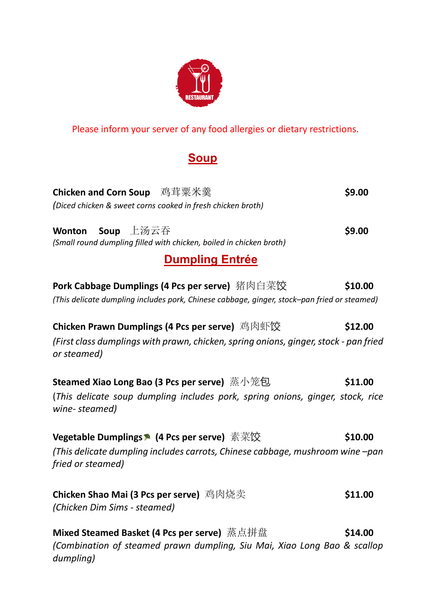

Please inform your server of any food allergies or dietary restrictions.

## **Soup**

| <b>Chicken and Corn Soup</b> 鸡茸粟米羹<br>(Diced chicken & sweet corns cooked in fresh chicken broth)                                                            | \$9.00  |
|--------------------------------------------------------------------------------------------------------------------------------------------------------------|---------|
| Soup 上汤云吞<br><b>Wonton</b><br>(Small round dumpling filled with chicken, boiled in chicken broth)                                                            | \$9.00  |
| <b>Dumpling Entrée</b>                                                                                                                                       |         |
| Pork Cabbage Dumplings (4 Pcs per serve) 猪肉白菜饺<br>(This delicate dumpling includes pork, Chinese cabbage, ginger, stock-pan fried or steamed)                | \$10.00 |
| Chicken Prawn Dumplings (4 Pcs per serve) 鸡肉虾饺<br>(First class dumplings with prawn, chicken, spring onions, ginger, stock - pan fried<br>or steamed)        | \$12.00 |
| Steamed Xiao Long Bao (3 Pcs per serve) 蒸小笼包<br>(This delicate soup dumpling includes pork, spring onions, ginger, stock, rice<br>wine-steamed)              | \$11.00 |
| Vegetable Dumplings <sup>●</sup> (4 Pcs per serve) 素菜饺<br>(This delicate dumpling includes carrots, Chinese cabbage, mushroom wine -pan<br>fried or steamed) | \$10.00 |
| Chicken Shao Mai (3 Pcs per serve) 鸡肉烧卖<br>(Chicken Dim Sims - steamed)                                                                                      | \$11.00 |
| Mixed Steamed Basket (4 Pcs per serve) 蒸点拼盘<br>(Combination of steamed prawn dumpling, Siu Mai, Xiao Long Bao & scallop<br>dumpling)                         | \$14.00 |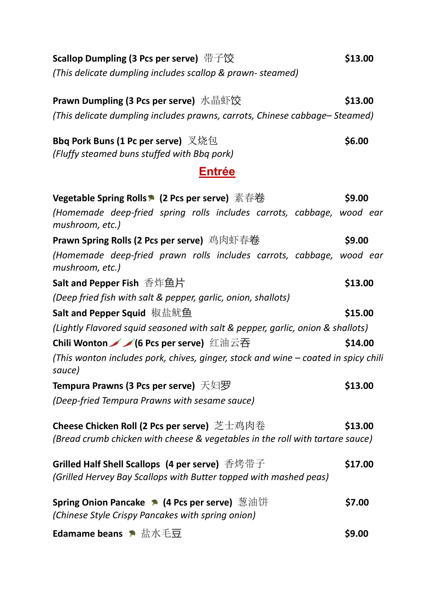| Scallop Dumpling (3 Pcs per serve) 带子饺                                                                              | \$13.00 |
|---------------------------------------------------------------------------------------------------------------------|---------|
| (This delicate dumpling includes scallop & prawn-steamed)                                                           |         |
| Prawn Dumpling (3 Pcs per serve) 水晶虾饺                                                                               | \$13.00 |
| (This delicate dumpling includes prawns, carrots, Chinese cabbage–Steamed)                                          |         |
| Bbq Pork Buns (1 Pc per serve) 又烧包<br>(Fluffy steamed buns stuffed with Bbq pork)                                   | \$6.00  |
| <b>Entrée</b>                                                                                                       |         |
| Vegetable Spring Rolls ▶ (2 Pcs per serve) 素春卷                                                                      | \$9.00  |
| (Homemade deep-fried spring rolls includes carrots, cabbage, wood ear<br>mushroom, etc.)                            |         |
| Prawn Spring Rolls (2 Pcs per serve) 鸡肉虾春卷                                                                          | \$9.00  |
| (Homemade deep-fried prawn rolls includes carrots, cabbage, wood ear<br>mushroom, etc.)                             |         |
| Salt and Pepper Fish 香炸鱼片                                                                                           | \$13.00 |
| (Deep fried fish with salt & pepper, garlic, onion, shallots)                                                       |         |
| Salt and Pepper Squid 椒盐鱿鱼                                                                                          | \$15.00 |
| (Lightly Flavored squid seasoned with salt & pepper, garlic, onion & shallots)                                      |         |
| Chili Wonton / / 6 Pcs per serve) 红油云吞                                                                              | \$14.00 |
| (This wonton includes pork, chives, ginger, stock and wine – coated in spicy chili<br>sauce)                        |         |
| <b>Tempura Prawns (3 Pcs per serve)</b> 天妇罗                                                                         | \$13.00 |
| (Deep-fried Tempura Prawns with sesame sauce)                                                                       |         |
| Cheese Chicken Roll (2 Pcs per serve) 芝士鸡肉卷                                                                         | \$13.00 |
| (Bread crumb chicken with cheese & vegetables in the roll with tartare sauce)                                       |         |
| Grilled Half Shell Scallops (4 per serve) 香烤带子<br>(Grilled Hervey Bay Scallops with Butter topped with mashed peas) | \$17.00 |
| Spring Onion Pancake ▶ (4 Pcs per serve) 葱油饼<br>(Chinese Style Crispy Pancakes with spring onion)                   | \$7.00  |
| <b>Edamame beans</b> ● 盐水毛豆                                                                                         | \$9.00  |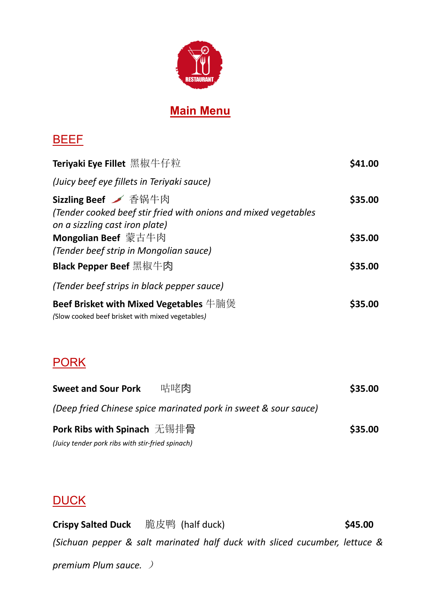

## **Main Menu**

#### **BEEF**

| Teriyaki Eye Fillet 黑椒牛仔粒                                                                  | S41.00        |
|--------------------------------------------------------------------------------------------|---------------|
| (Juicy beef eye fillets in Teriyaki sauce)                                                 |               |
| Sizzling Beef / 香锅牛肉                                                                       | \$35.00       |
| (Tender cooked beef stir fried with onions and mixed vegetables                            |               |
| on a sizzling cast iron plate)                                                             |               |
| Mongolian Beef 蒙古牛肉                                                                        | \$35.00       |
| (Tender beef strip in Mongolian sauce)                                                     |               |
| <b>Black Pepper Beef 黑椒牛肉</b>                                                              | \$35.00       |
| (Tender beef strips in black pepper sauce)                                                 |               |
| Beef Brisket with Mixed Vegetables 牛腩煲<br>(Slow cooked beef brisket with mixed vegetables) | <b>S35.00</b> |

## **PORK**

| <b>Sweet and Sour Pork</b>                       | 咕咾肉                                                             | \$35.00 |
|--------------------------------------------------|-----------------------------------------------------------------|---------|
|                                                  | (Deep fried Chinese spice marinated pork in sweet & sour sauce) |         |
| Pork Ribs with Spinach 无锡排骨                      |                                                                 | \$35.00 |
| (Juicy tender pork ribs with stir-fried spinach) |                                                                 |         |

### **DUCK**

**Crispy Salted Duck** 脆皮鸭 (half duck) **\$45.00** *(Sichuan pepper & salt marinated half duck with sliced cucumber, lettuce & premium Plum sauce.* )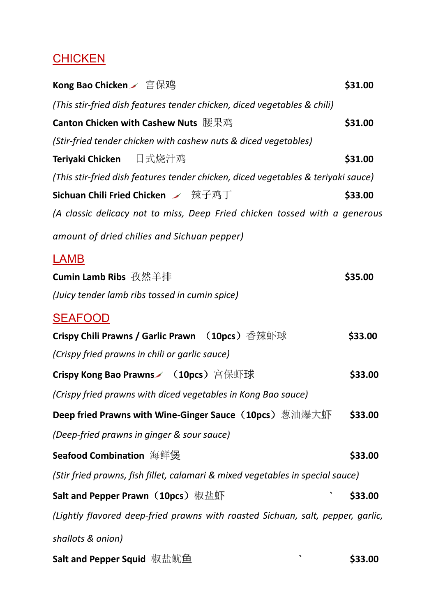# **CHICKEN**

| Kong Bao Chicken / 宫保鸡                                                            | \$31.00 |
|-----------------------------------------------------------------------------------|---------|
| (This stir-fried dish features tender chicken, diced vegetables & chili)          |         |
| Canton Chicken with Cashew Nuts 腰果鸡                                               | \$31.00 |
| (Stir-fried tender chicken with cashew nuts & diced vegetables)                   |         |
| Teriyaki Chicken 日式烧汁鸡                                                            | \$31.00 |
| (This stir-fried dish features tender chicken, diced vegetables & teriyaki sauce) |         |
| Sichuan Chili Fried Chicken ン 辣子鸡丁                                                | \$33.00 |
| (A classic delicacy not to miss, Deep Fried chicken tossed with a generous        |         |
| amount of dried chilies and Sichuan pepper)                                       |         |
| LAMB                                                                              |         |
| Cumin Lamb Ribs 孜然羊排                                                              | \$35.00 |
| (Juicy tender lamb ribs tossed in cumin spice)                                    |         |
| <b>SEAFOOD</b>                                                                    |         |
| Crispy Chili Prawns / Garlic Prawn (10pcs) 香辣虾球                                   | \$33.00 |
| (Crispy fried prawns in chili or garlic sauce)                                    |         |
| Crispy Kong Bao Prawns / (10pcs) 宫保虾球                                             | \$33.00 |
| (Crispy fried prawns with diced vegetables in Kong Bao sauce)                     |         |
| Deep fried Prawns with Wine-Ginger Sauce(10pcs)葱油爆大虾                              | \$33.00 |
| (Deep-fried prawns in ginger & sour sauce)                                        |         |
| <b>Seafood Combination</b> 海鲜煲                                                    | \$33.00 |
| (Stir fried prawns, fish fillet, calamari & mixed vegetables in special sauce)    |         |
| Salt and Pepper Prawn(10pcs)椒盐虾                                                   | \$33.00 |
| (Lightly flavored deep-fried prawns with roasted Sichuan, salt, pepper, garlic,   |         |
| shallots & onion)                                                                 |         |
| Salt and Pepper Squid 椒盐鱿鱼                                                        | \$33.00 |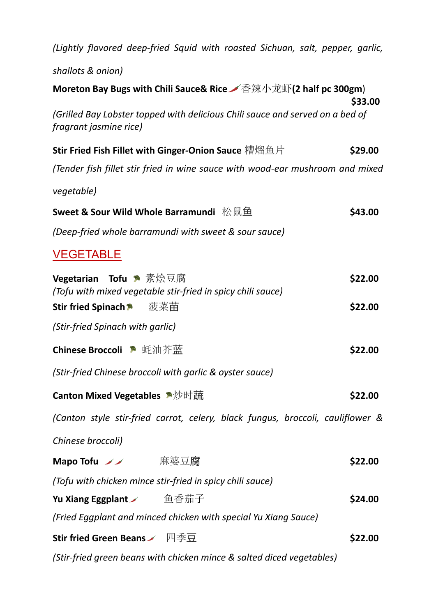| (Lightly flavored deep-fried Squid with roasted Sichuan, salt, pepper, garlic,                                              |                    |
|-----------------------------------------------------------------------------------------------------------------------------|--------------------|
| shallots & onion)                                                                                                           |                    |
| Moreton Bay Bugs with Chili Sauce& Rice 本香辣小龙虾(2 half pc 300gm)                                                             | \$33.00            |
| (Grilled Bay Lobster topped with delicious Chili sauce and served on a bed of<br><i>fragrant jasmine rice</i> )             |                    |
| Stir Fried Fish Fillet with Ginger-Onion Sauce 糟熘鱼片                                                                         | \$29.00            |
| (Tender fish fillet stir fried in wine sauce with wood-ear mushroom and mixed                                               |                    |
| vegetable)                                                                                                                  |                    |
| Sweet & Sour Wild Whole Barramundi 松鼠鱼                                                                                      | \$43.00            |
| (Deep-fried whole barramundi with sweet & sour sauce)                                                                       |                    |
| <b>VEGETABLE</b>                                                                                                            |                    |
| Vegetarian Tofu ▶ 素烩豆腐<br>(Tofu with mixed vegetable stir-fried in spicy chili sauce)<br>菠菜苗<br><b>Stir fried Spinach *</b> | \$22.00<br>\$22.00 |
| (Stir-fried Spinach with garlic)                                                                                            |                    |
| Chinese Broccoli ▶ 蚝油芥蓝                                                                                                     | \$22.00            |
| (Stir-fried Chinese broccoli with garlic & oyster sauce)                                                                    |                    |
| <b>Canton Mixed Vegetables</b> 个沙时蔬                                                                                         | \$22.00            |
| (Canton style stir-fried carrot, celery, black fungus, broccoli, cauliflower &                                              |                    |
| Chinese broccoli)                                                                                                           |                    |
| Mapo Tofu ノノ 麻婆豆腐                                                                                                           | \$22.00            |
| (Tofu with chicken mince stir-fried in spicy chili sauce)                                                                   |                    |
| Yu Xiang Eggplant / 鱼香茄子                                                                                                    | \$24.00            |
| (Fried Eggplant and minced chicken with special Yu Xiang Sauce)                                                             |                    |
| Stir fried Green Beans / 四季豆                                                                                                | \$22.00            |
| (Stir-fried green beans with chicken mince & salted diced vegetables)                                                       |                    |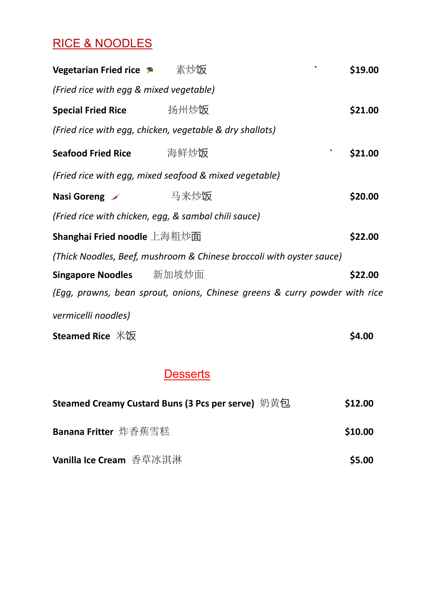## RICE & NOODLES

| Vegetarian Fried rice • 素炒饭                              |      |                                                                            | \$19.00 |
|----------------------------------------------------------|------|----------------------------------------------------------------------------|---------|
| (Fried rice with egg & mixed vegetable)                  |      |                                                                            |         |
| <b>Special Fried Rice</b>                                | 扬州炒饭 |                                                                            | \$21.00 |
| (Fried rice with egg, chicken, vegetable & dry shallots) |      |                                                                            |         |
| <b>Seafood Fried Rice</b>                                | 海鲜炒饭 |                                                                            | \$21.00 |
| (Fried rice with egg, mixed seafood & mixed vegetable)   |      |                                                                            |         |
| Nasi Goreng ン リンスン 马来炒饭                                  |      |                                                                            | \$20.00 |
| (Fried rice with chicken, egg, & sambal chili sauce)     |      |                                                                            |         |
| <b>Shanghai Fried noodle</b> 上海粗炒面                       |      |                                                                            | \$22.00 |
|                                                          |      | (Thick Noodles, Beef, mushroom & Chinese broccoli with oyster sauce)       |         |
| <b>Singapore Noodles</b> 新加坡炒面                           |      |                                                                            | \$22.00 |
|                                                          |      | (Egg, prawns, bean sprout, onions, Chinese greens & curry powder with rice |         |
| vermicelli noodles)                                      |      |                                                                            |         |
| <b>Steamed Rice 米饭</b>                                   |      |                                                                            | \$4.00  |

## **Desserts**

| Steamed Creamy Custard Buns (3 Pcs per serve) 奶黄包 | \$12.00 |
|---------------------------------------------------|---------|
| Banana Fritter 炸香蕉雪糕                              | \$10.00 |
| <b>Vanilla Ice Cream</b> 香草冰淇淋                    | \$5.00  |